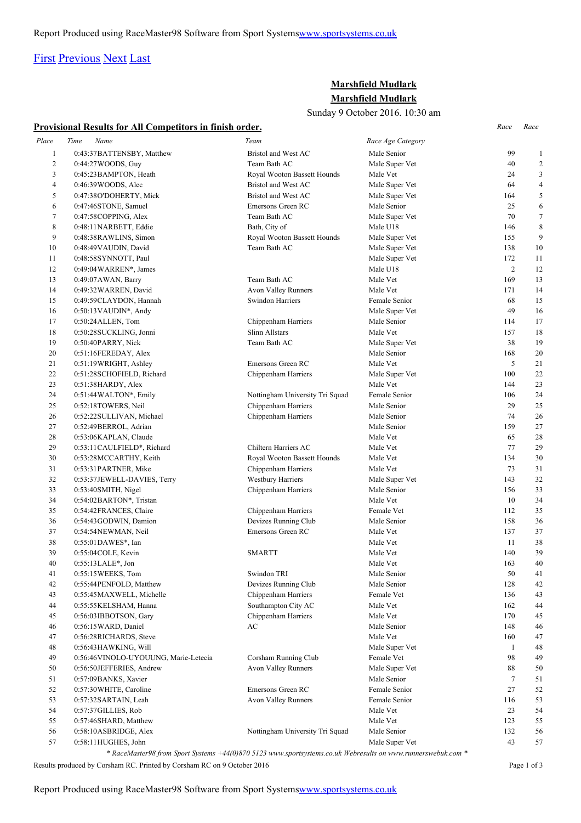Report Produced using RaceMaster98 Software from Sport System[swww.sportsystems.co.uk](http://www.sportsystems.co.uk/)

### [First](http://www.corshamrunningclub.co.uk/Mudlark/Results/2016/Mudlark.html#) [Previous](http://www.corshamrunningclub.co.uk/Mudlark/Results/2016/Mudlark.html#) [Next](http://www.corshamrunningclub.co.uk/Mudlark/Results/2016/MudlarkPage2.html) [Last](http://www.corshamrunningclub.co.uk/Mudlark/Results/2016/MudlarkPage3.html)

### **Marshfield Mudlark Marshfield Mudlark**

Sunday 9 October 2016. 10:30 am

### **Provisional Results for All Competitors in finish order.** *Race Race*

|              | <u>I TOVISIONAL INCSUITS TOT AIL COMPUTIONS IN THIISH OF UCT.</u> |                                 |                   |                |                |
|--------------|-------------------------------------------------------------------|---------------------------------|-------------------|----------------|----------------|
| Place        | Time<br>Name                                                      | Team                            | Race Age Category |                |                |
| $\mathbf{1}$ | 0:43:37BATTENSBY, Matthew                                         | Bristol and West AC             | Male Senior       | 99             | $\mathbf{1}$   |
| $\sqrt{2}$   | 0:44:27 WOODS, Guy                                                | Team Bath AC                    | Male Super Vet    | 40             | $\overline{c}$ |
| 3            | 0:45:23 BAMPTON, Heath                                            | Royal Wooton Bassett Hounds     | Male Vet          | 24             | 3              |
| 4            | 0:46:39 WOODS, Alec                                               | Bristol and West AC             | Male Super Vet    | 64             | $\overline{4}$ |
| 5            | 0:47:38O'DOHERTY, Mick                                            | Bristol and West AC             | Male Super Vet    | 164            | 5              |
| 6            | 0:47:46STONE, Samuel                                              | Emersons Green RC               | Male Senior       | 25             | 6              |
| 7            | 0:47:58COPPING, Alex                                              | Team Bath AC                    | Male Super Vet    | 70             | $\tau$         |
| 8            | 0:48:11NARBETT, Eddie                                             | Bath, City of                   | Male U18          | 146            | 8              |
| 9            | 0:48:38RAWLINS, Simon                                             | Royal Wooton Bassett Hounds     | Male Super Vet    | 155            | 9              |
| 10           | 0:48:49 VAUDIN, David                                             | Team Bath AC                    | Male Super Vet    | 138            | 10             |
| 11           | 0:48:58SYNNOTT, Paul                                              |                                 | Male Super Vet    | 172            | 11             |
| 12           | 0:49:04 WARREN*, James                                            |                                 | Male U18          | $\overline{c}$ | 12             |
| 13           | 0:49:07 AWAN, Barry                                               | Team Bath AC                    | Male Vet          | 169            | 13             |
| 14           | 0:49:32 WARREN, David                                             | Avon Valley Runners             | Male Vet          | 171            | 14             |
| 15           | 0:49:59CLAYDON, Hannah                                            | Swindon Harriers                | Female Senior     | 68             | 15             |
| 16           | $0:50:13$ VAUDIN*, Andy                                           |                                 | Male Super Vet    | 49             | 16             |
| 17           | 0:50:24 ALLEN, Tom                                                | Chippenham Harriers             | Male Senior       | 114            | 17             |
| 18           | 0:50:28SUCKLING, Jonni                                            | Slinn Allstars                  | Male Vet          | 157            | 18             |
| 19           | 0:50:40PARRY, Nick                                                | Team Bath AC                    | Male Super Vet    | 38             | 19             |
| 20           | 0:51:16FEREDAY, Alex                                              |                                 | Male Senior       | 168            | 20             |
| 21           | 0:51:19WRIGHT, Ashley                                             | Emersons Green RC               | Male Vet          | 5              | 21             |
| 22           | 0:51:28SCHOFIELD, Richard                                         | Chippenham Harriers             | Male Super Vet    | 100            | 22             |
| 23           | 0:51:38HARDY, Alex                                                |                                 | Male Vet          | 144            | 23             |
| 24           | 0:51:44 WALTON*, Emily                                            | Nottingham University Tri Squad | Female Senior     | 106            | 24             |
| 25           | 0:52:18TOWERS, Neil                                               | Chippenham Harriers             | Male Senior       | 29             | 25             |
| 26           | 0:52:22SULLIVAN, Michael                                          | Chippenham Harriers             | Male Senior       | 74             | 26             |
| 27           | 0:52:49BERROL, Adrian                                             |                                 | Male Senior       | 159            | 27             |
| 28           | 0:53:06KAPLAN, Claude                                             |                                 | Male Vet          | 65             | 28             |
| 29           | 0:53:11CAULFIELD*, Richard                                        | Chiltern Harriers AC            | Male Vet          | 77             | 29             |
| 30           | 0:53:28MCCARTHY, Keith                                            | Royal Wooton Bassett Hounds     | Male Vet          | 134            | 30             |
| 31           | 0:53:31PARTNER, Mike                                              | Chippenham Harriers             | Male Vet          | 73             | 31             |
| 32           | 0:53:37JEWELL-DAVIES, Terry                                       | Westbury Harriers               | Male Super Vet    | 143            | 32             |
| 33           | 0:53:40SMITH, Nigel                                               | Chippenham Harriers             | Male Senior       | 156            | 33             |
| 34           | 0:54:02BARTON*, Tristan                                           |                                 | Male Vet          | 10             | 34             |
| 35           | 0:54:42FRANCES, Claire                                            | Chippenham Harriers             | Female Vet        | 112            | 35             |
| 36           | 0:54:43GODWIN, Damion                                             | Devizes Running Club            | Male Senior       | 158            | 36             |
| 37           | 0:54:54NEWMAN, Neil                                               | Emersons Green RC               | Male Vet          | 137            | 37             |
| 38           | 0:55:01DAWES*, Ian                                                |                                 | Male Vet          | 11             | 38             |
| 39           | 0:55:04COLE, Kevin                                                | <b>SMARTT</b>                   | Male Vet          | 140            | 39             |
| 40           | $0:55:13LALE*, Jon$                                               |                                 | Male Vet          | 163            | 40             |
| 41           | 0:55:15WEEKS, Tom                                                 | Swindon TRI                     | Male Senior       | 50             | 41             |
| 42           | 0:55:44PENFOLD, Matthew                                           | Devizes Running Club            | Male Senior       | 128            | 42             |
| 43           | 0:55:45MAXWELL, Michelle                                          | Chippenham Harriers             | Female Vet        | 136            | 43             |
| 44           | 0:55:55KELSHAM, Hanna                                             | Southampton City AC             | Male Vet          | 162            | 44             |
| 45           | 0:56:03IBBOTSON, Gary                                             | Chippenham Harriers             | Male Vet          | 170            | 45             |
| 46           | 0:56:15 WARD, Daniel                                              | AC                              | Male Senior       | 148            | 46             |
| 47           | 0:56:28RICHARDS, Steve                                            |                                 | Male Vet          | 160            | 47             |
| 48           | 0:56:43HAWKING, Will                                              |                                 | Male Super Vet    | -1             | 48             |
| 49           | 0:56:46 VINOLO-UYOUUNG, Marie-Letecia                             | Corsham Running Club            | Female Vet        | 98             | 49             |
| 50           | 0:56:50JEFFERIES, Andrew                                          | Avon Valley Runners             | Male Super Vet    | 88             | 50             |
| 51           | 0:57:09BANKS, Xavier                                              |                                 | Male Senior       | $\tau$         | 51             |
| 52           | 0:57:30 WHITE, Caroline                                           | Emersons Green RC               | Female Senior     | 27             | 52             |
| 53           | 0:57:32SARTAIN, Leah                                              | Avon Valley Runners             | Female Senior     | 116            | 53             |
| 54           | 0:57:37 GILLIES, Rob                                              |                                 | Male Vet          | 23             | 54             |
| 55           | 0:57:46SHARD, Matthew                                             |                                 | Male Vet          | 123            | 55             |
| 56           | 0:58:10ASBRIDGE, Alex                                             | Nottingham University Tri Squad | Male Senior       | 132            | 56             |
| 57           | 0:58:11HUGHES, John                                               |                                 | Male Super Vet    | 43             | 57             |

*\* RaceMaster98 from Sport Systems +44(0)870 5123 www.sportsystems.co.uk Webresults on www.runnerswebuk.com \**

Results produced by Corsham RC. Printed by Corsham RC on 9 October 2016 Page 1 of 3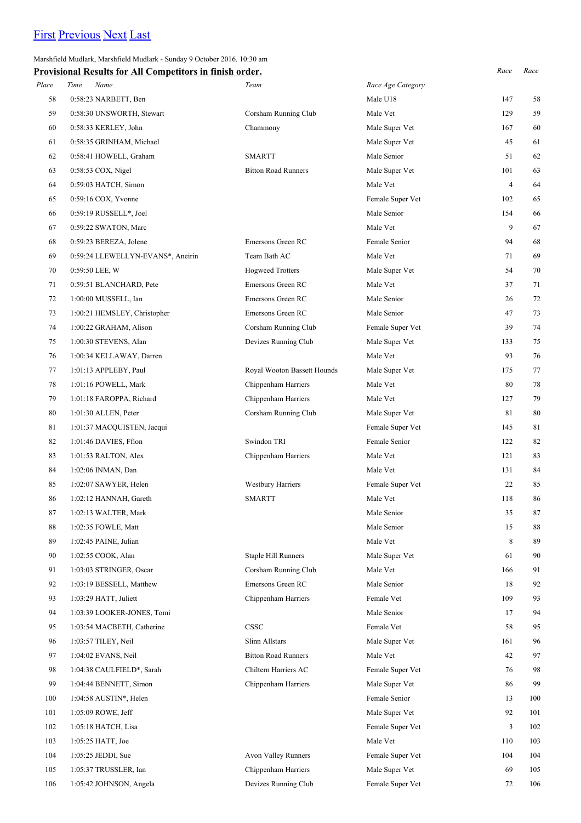## [First](http://www.corshamrunningclub.co.uk/Mudlark/Results/2016/Mudlark.html) [Previous](http://www.corshamrunningclub.co.uk/Mudlark/Results/2016/Mudlark.html) [Next](http://www.corshamrunningclub.co.uk/Mudlark/Results/2016/MudlarkPage3.html) [Last](http://www.corshamrunningclub.co.uk/Mudlark/Results/2016/MudlarkPage3.html)

Marshfield Mudlark, Marshfield Mudlark - Sunday 9 October 2016. 10:30 am

| <b>Provisional Results for All Competitors in finish order.</b> |                                   |                             |                   | Race           | Race |
|-----------------------------------------------------------------|-----------------------------------|-----------------------------|-------------------|----------------|------|
| Place                                                           | Name<br>Time                      | Team                        | Race Age Category |                |      |
| 58                                                              | 0:58:23 NARBETT, Ben              |                             | Male U18          | 147            | 58   |
| 59                                                              | 0:58:30 UNSWORTH, Stewart         | Corsham Running Club        | Male Vet          | 129            | 59   |
| 60                                                              | 0:58:33 KERLEY, John              | Chammony                    | Male Super Vet    | 167            | 60   |
| 61                                                              | 0:58:35 GRINHAM, Michael          |                             | Male Super Vet    | 45             | 61   |
| 62                                                              | 0:58:41 HOWELL, Graham            | <b>SMARTT</b>               | Male Senior       | 51             | 62   |
| 63                                                              | 0:58:53 COX, Nigel                | <b>Bitton Road Runners</b>  | Male Super Vet    | 101            | 63   |
| 64                                                              | 0:59:03 HATCH, Simon              |                             | Male Vet          | $\overline{4}$ | 64   |
| 65                                                              | 0:59:16 COX, Yvonne               |                             | Female Super Vet  | 102            | 65   |
| 66                                                              | 0:59:19 RUSSELL*, Joel            |                             | Male Senior       | 154            | 66   |
| 67                                                              | 0:59:22 SWATON, Marc              |                             | Male Vet          | 9              | 67   |
| 68                                                              | 0:59:23 BEREZA, Jolene            | Emersons Green RC           | Female Senior     | 94             | 68   |
| 69                                                              | 0:59:24 LLEWELLYN-EVANS*, Aneirin | Team Bath AC                | Male Vet          | 71             | 69   |
| 70                                                              | 0:59:50 LEE, W                    | <b>Hogweed Trotters</b>     | Male Super Vet    | 54             | 70   |
| 71                                                              | 0:59:51 BLANCHARD, Pete           | Emersons Green RC           | Male Vet          | 37             | 71   |
| 72                                                              | 1:00:00 MUSSELL, Ian              | Emersons Green RC           | Male Senior       | 26             | 72   |
| 73                                                              | 1:00:21 HEMSLEY, Christopher      | Emersons Green RC           | Male Senior       | 47             | 73   |
| 74                                                              | 1:00:22 GRAHAM, Alison            | Corsham Running Club        | Female Super Vet  | 39             | 74   |
| 75                                                              | 1:00:30 STEVENS, Alan             | Devizes Running Club        | Male Super Vet    | 133            | 75   |
| 76                                                              | 1:00:34 KELLAWAY, Darren          |                             | Male Vet          | 93             | 76   |
| 77                                                              | 1:01:13 APPLEBY, Paul             | Royal Wooton Bassett Hounds | Male Super Vet    | 175            | 77   |
| 78                                                              | 1:01:16 POWELL, Mark              | Chippenham Harriers         | Male Vet          | 80             | 78   |
| 79                                                              | 1:01:18 FAROPPA, Richard          | Chippenham Harriers         | Male Vet          | 127            | 79   |
| 80                                                              | 1:01:30 ALLEN, Peter              | Corsham Running Club        | Male Super Vet    | 81             | 80   |
| 81                                                              | 1:01:37 MACQUISTEN, Jacqui        |                             | Female Super Vet  | 145            | 81   |
| 82                                                              | 1:01:46 DAVIES, Ffion             | Swindon TRI                 | Female Senior     | 122            | 82   |
| 83                                                              | 1:01:53 RALTON, Alex              | Chippenham Harriers         | Male Vet          | 121            | 83   |
| 84                                                              | 1:02:06 INMAN, Dan                |                             | Male Vet          | 131            | 84   |
| 85                                                              | 1:02:07 SAWYER, Helen             | <b>Westbury Harriers</b>    | Female Super Vet  | 22             | 85   |
| 86                                                              | 1:02:12 HANNAH, Gareth            | <b>SMARTT</b>               | Male Vet          | 118            | 86   |
| 87                                                              | 1:02:13 WALTER, Mark              |                             | Male Senior       | 35             | 87   |
| 88                                                              | 1:02:35 FOWLE, Matt               |                             | Male Senior       | 15             | 88   |
| 89                                                              | 1:02:45 PAINE, Julian             |                             | Male Vet          | 8              | 89   |
| 90                                                              | 1:02:55 COOK, Alan                | <b>Staple Hill Runners</b>  | Male Super Vet    | 61             | 90   |
| 91                                                              | 1:03:03 STRINGER, Oscar           | Corsham Running Club        | Male Vet          | 166            | 91   |
| 92                                                              | 1:03:19 BESSELL, Matthew          | Emersons Green RC           | Male Senior       | 18             | 92   |
| 93                                                              | 1:03:29 HATT, Juliett             | Chippenham Harriers         | Female Vet        | 109            | 93   |
| 94                                                              | 1:03:39 LOOKER-JONES, Tomi        |                             | Male Senior       | 17             | 94   |
| 95                                                              | 1:03:54 MACBETH, Catherine        | CSSC                        | Female Vet        | 58             | 95   |
| 96                                                              | 1:03:57 TILEY, Neil               | Slinn Allstars              | Male Super Vet    | 161            | 96   |
| 97                                                              | 1:04:02 EVANS, Neil               | <b>Bitton Road Runners</b>  | Male Vet          | 42             | 97   |
| 98                                                              | 1:04:38 CAULFIELD*, Sarah         | Chiltern Harriers AC        | Female Super Vet  | 76             | 98   |
| 99                                                              | 1:04:44 BENNETT, Simon            | Chippenham Harriers         | Male Super Vet    | 86             | 99   |
| 100                                                             | 1:04:58 AUSTIN*, Helen            |                             | Female Senior     | 13             | 100  |
| 101                                                             | 1:05:09 ROWE, Jeff                |                             | Male Super Vet    | 92             | 101  |
| 102                                                             | 1:05:18 HATCH, Lisa               |                             | Female Super Vet  | 3              | 102  |
| 103                                                             | 1:05:25 HATT, Joe                 |                             | Male Vet          | 110            | 103  |
| 104                                                             | 1:05:25 JEDDI, Sue                | Avon Valley Runners         | Female Super Vet  | 104            | 104  |
| 105                                                             | 1:05:37 TRUSSLER, Ian             | Chippenham Harriers         | Male Super Vet    | 69             | 105  |
| 106                                                             | 1:05:42 JOHNSON, Angela           | Devizes Running Club        | Female Super Vet  | 72             | 106  |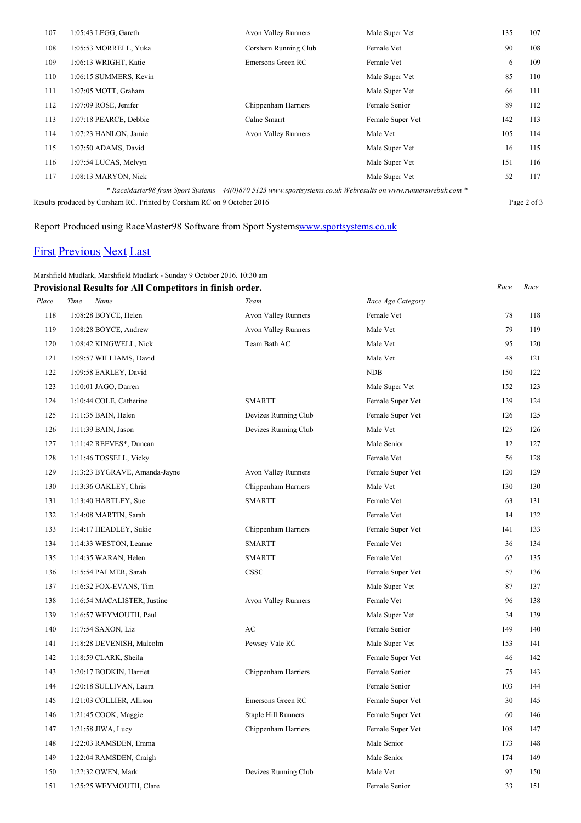| 107                                                                                                          | 1:05:43 LEGG, Gareth    | <b>Avon Valley Runners</b> | Male Super Vet   | 135 | 107 |
|--------------------------------------------------------------------------------------------------------------|-------------------------|----------------------------|------------------|-----|-----|
| 108                                                                                                          | 1:05:53 MORRELL, Yuka   | Corsham Running Club       | Female Vet       | 90  | 108 |
| 109                                                                                                          | 1:06:13 WRIGHT, Katie   | Emersons Green RC          | Female Vet       | 6   | 109 |
| 110                                                                                                          | 1:06:15 SUMMERS, Kevin  |                            | Male Super Vet   | 85  | 110 |
| 111                                                                                                          | 1:07:05 MOTT, Graham    |                            | Male Super Vet   | 66  | 111 |
| 112                                                                                                          | $1:07:09$ ROSE, Jenifer | Chippenham Harriers        | Female Senior    | 89  | 112 |
| 113                                                                                                          | 1:07:18 PEARCE, Debbie  | Calne Smarrt               | Female Super Vet | 142 | 113 |
| 114                                                                                                          | 1:07:23 HANLON, Jamie   | <b>Avon Valley Runners</b> | Male Vet         | 105 | 114 |
| 115                                                                                                          | 1:07:50 ADAMS, David    |                            | Male Super Vet   | 16  | 115 |
| 116                                                                                                          | 1:07:54 LUCAS, Melvyn   |                            | Male Super Vet   | 151 | 116 |
| 117                                                                                                          | 1:08:13 MARYON, Nick    |                            | Male Super Vet   | 52  | 117 |
| * RaceMaster98 from Sport Systems +44(0)870 5123 www.sportsystems.co.uk Webresults on www.runnerswebuk.com * |                         |                            |                  |     |     |

Results produced by Corsham RC. Printed by Corsham RC on 9 October 2016 Page 2 of 3

### Report Produced using RaceMaster98 Software from Sport System[swww.sportsystems.co.uk](http://www.sportsystems.co.uk/)

## [First](http://www.corshamrunningclub.co.uk/Mudlark/Results/2016/Mudlark.html) [Previous](http://www.corshamrunningclub.co.uk/Mudlark/Results/2016/MudlarkPage2.html) [Next](http://www.corshamrunningclub.co.uk/Mudlark/Results/2016/MudlarkPage3.html#) [Last](http://www.corshamrunningclub.co.uk/Mudlark/Results/2016/MudlarkPage3.html#)

### Marshfield Mudlark, Marshfield Mudlark - Sunday 9 October 2016. 10:30 am

|       | Provisional Results for All Competitors in finish order. |                            |                   | Race | Race |
|-------|----------------------------------------------------------|----------------------------|-------------------|------|------|
| Place | Name<br>Time                                             | Team                       | Race Age Category |      |      |
| 118   | 1:08:28 BOYCE, Helen                                     | Avon Valley Runners        | Female Vet        | 78   | 118  |
| 119   | 1:08:28 BOYCE, Andrew                                    | Avon Valley Runners        | Male Vet          | 79   | 119  |
| 120   | 1:08:42 KINGWELL, Nick                                   | Team Bath AC               | Male Vet          | 95   | 120  |
| 121   | 1:09:57 WILLIAMS, David                                  |                            | Male Vet          | 48   | 121  |
| 122   | 1:09:58 EARLEY, David                                    |                            | NDB               | 150  | 122  |
| 123   | 1:10:01 JAGO, Darren                                     |                            | Male Super Vet    | 152  | 123  |
| 124   | 1:10:44 COLE, Catherine                                  | <b>SMARTT</b>              | Female Super Vet  | 139  | 124  |
| 125   | $1:11:35$ BAIN, Helen                                    | Devizes Running Club       | Female Super Vet  | 126  | 125  |
| 126   | 1:11:39 BAIN, Jason                                      | Devizes Running Club       | Male Vet          | 125  | 126  |
| 127   | 1:11:42 REEVES*, Duncan                                  |                            | Male Senior       | 12   | 127  |
| 128   | 1:11:46 TOSSELL, Vicky                                   |                            | Female Vet        | 56   | 128  |
| 129   | 1:13:23 BYGRAVE, Amanda-Jayne                            | Avon Valley Runners        | Female Super Vet  | 120  | 129  |
| 130   | 1:13:36 OAKLEY, Chris                                    | Chippenham Harriers        | Male Vet          | 130  | 130  |
| 131   | 1:13:40 HARTLEY, Sue                                     | <b>SMARTT</b>              | Female Vet        | 63   | 131  |
| 132   | 1:14:08 MARTIN, Sarah                                    |                            | Female Vet        | 14   | 132  |
| 133   | 1:14:17 HEADLEY, Sukie                                   | Chippenham Harriers        | Female Super Vet  | 141  | 133  |
| 134   | 1:14:33 WESTON, Leanne                                   | <b>SMARTT</b>              | Female Vet        | 36   | 134  |
| 135   | 1:14:35 WARAN, Helen                                     | <b>SMARTT</b>              | Female Vet        | 62   | 135  |
| 136   | 1:15:54 PALMER, Sarah                                    | <b>CSSC</b>                | Female Super Vet  | 57   | 136  |
| 137   | 1:16:32 FOX-EVANS, Tim                                   |                            | Male Super Vet    | 87   | 137  |
| 138   | 1:16:54 MACALISTER, Justine                              | Avon Valley Runners        | Female Vet        | 96   | 138  |
| 139   | 1:16:57 WEYMOUTH, Paul                                   |                            | Male Super Vet    | 34   | 139  |
| 140   | 1:17:54 SAXON, Liz                                       | AC                         | Female Senior     | 149  | 140  |
| 141   | 1:18:28 DEVENISH, Malcolm                                | Pewsey Vale RC             | Male Super Vet    | 153  | 141  |
| 142   | 1:18:59 CLARK, Sheila                                    |                            | Female Super Vet  | 46   | 142  |
| 143   | 1:20:17 BODKIN, Harriet                                  | Chippenham Harriers        | Female Senior     | 75   | 143  |
| 144   | 1:20:18 SULLIVAN, Laura                                  |                            | Female Senior     | 103  | 144  |
| 145   | 1:21:03 COLLIER, Allison                                 | Emersons Green RC          | Female Super Vet  | 30   | 145  |
| 146   | 1:21:45 COOK, Maggie                                     | <b>Staple Hill Runners</b> | Female Super Vet  | 60   | 146  |
| 147   | 1:21:58 JIWA, Lucy                                       | Chippenham Harriers        | Female Super Vet  | 108  | 147  |
| 148   | 1:22:03 RAMSDEN, Emma                                    |                            | Male Senior       | 173  | 148  |
| 149   | 1:22:04 RAMSDEN, Craigh                                  |                            | Male Senior       | 174  | 149  |
| 150   | 1:22:32 OWEN, Mark                                       | Devizes Running Club       | Male Vet          | 97   | 150  |
| 151   | 1:25:25 WEYMOUTH, Clare                                  |                            | Female Senior     | 33   | 151  |